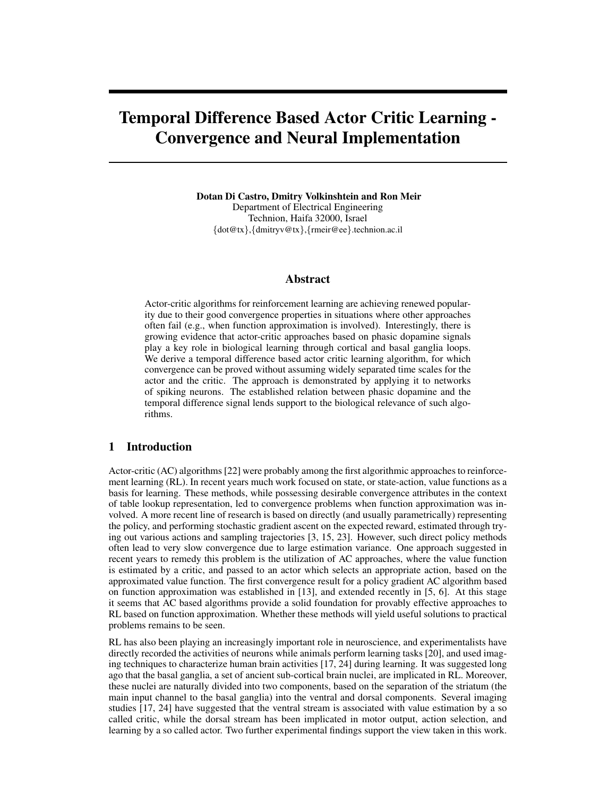# Temporal Difference Based Actor Critic Learning - Convergence and Neural Implementation

Dotan Di Castro, Dmitry Volkinshtein and Ron Meir Department of Electrical Engineering Technion, Haifa 32000, Israel {dot@tx},{dmitryv@tx},{rmeir@ee}.technion.ac.il

## Abstract

Actor-critic algorithms for reinforcement learning are achieving renewed popularity due to their good convergence properties in situations where other approaches often fail (e.g., when function approximation is involved). Interestingly, there is growing evidence that actor-critic approaches based on phasic dopamine signals play a key role in biological learning through cortical and basal ganglia loops. We derive a temporal difference based actor critic learning algorithm, for which convergence can be proved without assuming widely separated time scales for the actor and the critic. The approach is demonstrated by applying it to networks of spiking neurons. The established relation between phasic dopamine and the temporal difference signal lends support to the biological relevance of such algorithms.

# 1 Introduction

Actor-critic (AC) algorithms [22] were probably among the first algorithmic approaches to reinforcement learning (RL). In recent years much work focused on state, or state-action, value functions as a basis for learning. These methods, while possessing desirable convergence attributes in the context of table lookup representation, led to convergence problems when function approximation was involved. A more recent line of research is based on directly (and usually parametrically) representing the policy, and performing stochastic gradient ascent on the expected reward, estimated through trying out various actions and sampling trajectories [3, 15, 23]. However, such direct policy methods often lead to very slow convergence due to large estimation variance. One approach suggested in recent years to remedy this problem is the utilization of AC approaches, where the value function is estimated by a critic, and passed to an actor which selects an appropriate action, based on the approximated value function. The first convergence result for a policy gradient AC algorithm based on function approximation was established in [13], and extended recently in [5, 6]. At this stage it seems that AC based algorithms provide a solid foundation for provably effective approaches to RL based on function approximation. Whether these methods will yield useful solutions to practical problems remains to be seen.

RL has also been playing an increasingly important role in neuroscience, and experimentalists have directly recorded the activities of neurons while animals perform learning tasks [20], and used imaging techniques to characterize human brain activities [17, 24] during learning. It was suggested long ago that the basal ganglia, a set of ancient sub-cortical brain nuclei, are implicated in RL. Moreover, these nuclei are naturally divided into two components, based on the separation of the striatum (the main input channel to the basal ganglia) into the ventral and dorsal components. Several imaging studies [17, 24] have suggested that the ventral stream is associated with value estimation by a so called critic, while the dorsal stream has been implicated in motor output, action selection, and learning by a so called actor. Two further experimental findings support the view taken in this work.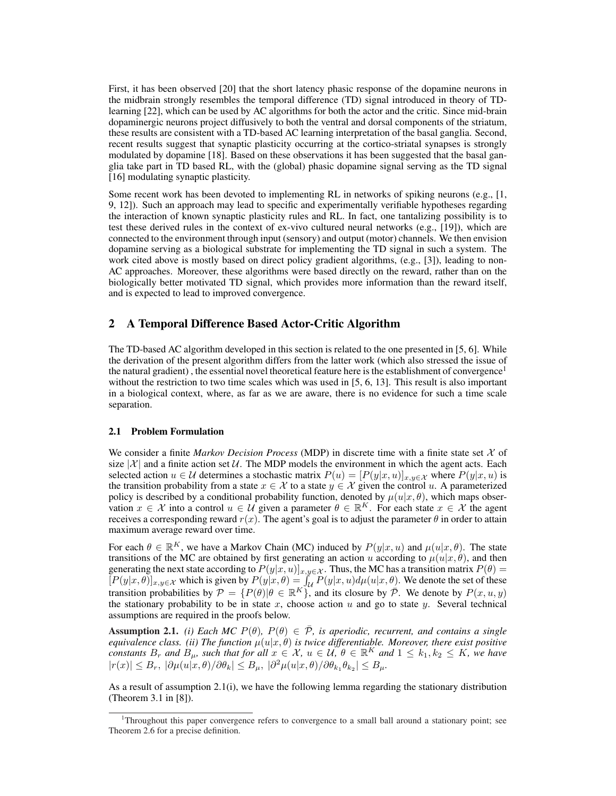First, it has been observed [20] that the short latency phasic response of the dopamine neurons in the midbrain strongly resembles the temporal difference (TD) signal introduced in theory of TDlearning [22], which can be used by AC algorithms for both the actor and the critic. Since mid-brain dopaminergic neurons project diffusively to both the ventral and dorsal components of the striatum, these results are consistent with a TD-based AC learning interpretation of the basal ganglia. Second, recent results suggest that synaptic plasticity occurring at the cortico-striatal synapses is strongly modulated by dopamine [18]. Based on these observations it has been suggested that the basal ganglia take part in TD based RL, with the (global) phasic dopamine signal serving as the TD signal [16] modulating synaptic plasticity.

Some recent work has been devoted to implementing RL in networks of spiking neurons (e.g., [1, 9, 12]). Such an approach may lead to specific and experimentally verifiable hypotheses regarding the interaction of known synaptic plasticity rules and RL. In fact, one tantalizing possibility is to test these derived rules in the context of ex-vivo cultured neural networks (e.g., [19]), which are connected to the environment through input (sensory) and output (motor) channels. We then envision dopamine serving as a biological substrate for implementing the TD signal in such a system. The work cited above is mostly based on direct policy gradient algorithms, (e.g., [3]), leading to non-AC approaches. Moreover, these algorithms were based directly on the reward, rather than on the biologically better motivated TD signal, which provides more information than the reward itself, and is expected to lead to improved convergence.

## 2 A Temporal Difference Based Actor-Critic Algorithm

The TD-based AC algorithm developed in this section is related to the one presented in [5, 6]. While the derivation of the present algorithm differs from the latter work (which also stressed the issue of the natural gradient), the essential novel theoretical feature here is the establishment of convergence<sup>1</sup> without the restriction to two time scales which was used in [5, 6, 13]. This result is also important in a biological context, where, as far as we are aware, there is no evidence for such a time scale separation.

## 2.1 Problem Formulation

We consider a finite *Markov Decision Process* (MDP) in discrete time with a finite state set X of size  $|\mathcal{X}|$  and a finite action set U. The MDP models the environment in which the agent acts. Each selected action  $u \in \mathcal{U}$  determines a stochastic matrix  $P(u) = [P(y|x, u)]_{x, y \in \mathcal{X}}$  where  $P(y|x, u)$  is the transition probability from a state  $x \in \mathcal{X}$  to a state  $y \in \mathcal{X}$  given the control u. A parameterized policy is described by a conditional probability function, denoted by  $\mu(u|x, \theta)$ , which maps observation  $x \in \mathcal{X}$  into a control  $u \in \mathcal{U}$  given a parameter  $\theta \in \mathbb{R}^K$ . For each state  $x \in \mathcal{X}$  the agent receives a corresponding reward  $r(x)$ . The agent's goal is to adjust the parameter  $\theta$  in order to attain maximum average reward over time.

For each  $\theta \in \mathbb{R}^K$ , we have a Markov Chain (MC) induced by  $P(y|x, u)$  and  $\mu(u|x, \theta)$ . The state transitions of the MC are obtained by first generating an action u according to  $\mu(u|x,\theta)$ , and then generating the next state according to  $P(y|x, u)]_{x,y \in \mathcal{X}}$ . Thus, the MC has a transition matrix  $P(\theta) = [P(y|x, \theta)]_{x,y \in \mathcal{X}}$  which is given by  $P(y|x, \theta) = \int_{\mathcal{U}} P(y|x, u) d\mu(u|x, \theta)$ . We denote the set of these transition probabilities by  $\mathcal{P} = \{P(\theta) | \theta \in \mathbb{R}^K\}$ , and its closure by  $\overline{\mathcal{P}}$ . We denote by  $P(x, u, y)$ the stationary probability to be in state x, choose action  $u$  and go to state  $y$ . Several technical assumptions are required in the proofs below.

**Assumption 2.1.** *(i) Each MC*  $P(\theta)$ ,  $P(\theta) \in \overline{\mathcal{P}}$ *, is aperiodic, recurrent, and contains a single equivalence class. (ii) The function*  $\mu(u|x, \theta)$  *is twice differentiable. Moreover, there exist positive constants*  $B_r$  *and*  $B_\mu$ *, such that for all*  $x \in \mathcal{X}$ *,*  $u \in \mathcal{U}$ ,  $\theta \in \mathbb{R}$ <sup>K</sup> *and*  $1 \leq k_1, k_2 \leq K$ *, we have*  $|r(x)| \leq B_r$ ,  $|\partial \mu(u|x,\theta)/\partial \theta_k| \leq B_\mu$ ,  $|\partial^2 \mu(u|x,\theta)/\partial \theta_{k_1}\theta_{k_2}| \leq B_\mu$ .

As a result of assumption 2.1(i), we have the following lemma regarding the stationary distribution (Theorem 3.1 in [8]).

<sup>1</sup>Throughout this paper convergence refers to convergence to a small ball around a stationary point; see Theorem 2.6 for a precise definition.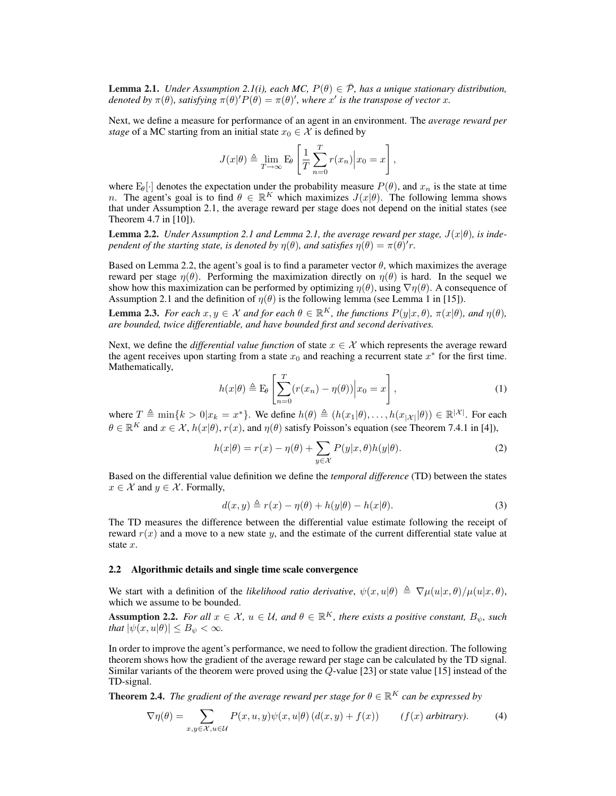**Lemma 2.1.** *Under Assumption 2.1(i), each MC,*  $P(\theta) \in \overline{\mathcal{P}}$ *, has a unique stationary distribution, denoted by*  $\pi(\theta)$ *, satisfying*  $\pi(\theta)'P(\theta) = \pi(\theta)'$ *, where* x' is the transpose of vector x.

Next, we define a measure for performance of an agent in an environment. The *average reward per stage* of a MC starting from an initial state  $x_0 \in \mathcal{X}$  is defined by

$$
J(x|\theta) \triangleq \lim_{T \to \infty} \mathcal{E}_{\theta} \left[ \frac{1}{T} \sum_{n=0}^{T} r(x_n) \middle| x_0 = x \right],
$$

where  $E_{\theta}[\cdot]$  denotes the expectation under the probability measure  $P(\theta)$ , and  $x_n$  is the state at time n. The agent's goal is to find  $\theta \in \mathbb{R}^K$  which maximizes  $J(x|\theta)$ . The following lemma shows that under Assumption 2.1, the average reward per stage does not depend on the initial states (see Theorem 4.7 in [10]).

**Lemma 2.2.** *Under Assumption 2.1 and Lemma 2.1, the average reward per stage,*  $J(x|\theta)$ *, is independent of the starting state, is denoted by*  $\eta(\theta)$ *, and satisfies*  $\eta(\theta) = \pi(\theta)'r$ *.* 

Based on Lemma 2.2, the agent's goal is to find a parameter vector  $\theta$ , which maximizes the average reward per stage  $\eta(\theta)$ . Performing the maximization directly on  $\eta(\theta)$  is hard. In the sequel we show how this maximization can be performed by optimizing  $\eta(\theta)$ , using  $\nabla \eta(\theta)$ . A consequence of Assumption 2.1 and the definition of  $\eta(\theta)$  is the following lemma (see Lemma 1 in [15]).

**Lemma 2.3.** *For each*  $x, y \in \mathcal{X}$  *and for each*  $\theta \in \mathbb{R}^K$ *, the functions*  $P(y|x, \theta)$ *,*  $\pi(x|\theta)$ *, and*  $\eta(\theta)$ *, are bounded, twice differentiable, and have bounded first and second derivatives.*

Next, we define the *differential value function* of state  $x \in \mathcal{X}$  which represents the average reward the agent receives upon starting from a state  $x_0$  and reaching a recurrent state  $x^*$  for the first time. Mathematically, 1

$$
h(x|\theta) \triangleq \mathcal{E}_{\theta} \left[ \sum_{n=0}^{T} (r(x_n) - \eta(\theta)) \middle| x_0 = x \right],
$$
 (1)

where  $T \triangleq \min\{k > 0 | x_k = x^*\}$ . We define  $h(\theta) \triangleq (h(x_1|\theta), \ldots, h(x_{|\mathcal{X}|}|\theta)) \in \mathbb{R}^{|\mathcal{X}|}$ . For each  $\theta \in \mathbb{R}^K$  and  $x \in \mathcal{X}$ ,  $h(x|\theta)$ ,  $r(x)$ , and  $\eta(\theta)$  satisfy Poisson's equation (see Theorem 7.4.1 in [4]),

$$
h(x|\theta) = r(x) - \eta(\theta) + \sum_{y \in \mathcal{X}} P(y|x, \theta) h(y|\theta).
$$
 (2)

Based on the differential value definition we define the *temporal difference* (TD) between the states  $x \in \mathcal{X}$  and  $y \in \mathcal{X}$ . Formally,

$$
d(x,y) \triangleq r(x) - \eta(\theta) + h(y|\theta) - h(x|\theta). \tag{3}
$$

The TD measures the difference between the differential value estimate following the receipt of reward  $r(x)$  and a move to a new state y, and the estimate of the current differential state value at state x.

#### 2.2 Algorithmic details and single time scale convergence

We start with a definition of the *likelihood ratio derivative*,  $\psi(x, u|\theta) \triangleq \nabla \mu(u|x, \theta) / \mu(u|x, \theta)$ , which we assume to be bounded.

Assumption 2.2. *For all*  $x \in \mathcal{X}$ ,  $u \in \mathcal{U}$ , and  $\theta \in \mathbb{R}^K$ , there exists a positive constant,  $B_{\psi}$ , such *that*  $|\psi(x, u|\theta)| \leq B_{\psi} < \infty$ *.* 

In order to improve the agent's performance, we need to follow the gradient direction. The following theorem shows how the gradient of the average reward per stage can be calculated by the TD signal. Similar variants of the theorem were proved using the  $\overline{Q}$ -value [23] or state value [15] instead of the TD-signal.

**Theorem 2.4.** *The gradient of the average reward per stage for*  $\theta \in \mathbb{R}^K$  *can be expressed by* 

$$
\nabla \eta(\theta) = \sum_{x,y \in \mathcal{X}, u \in \mathcal{U}} P(x,u,y)\psi(x,u|\theta) (d(x,y) + f(x)) \qquad (f(x) \text{ arbitrary}). \tag{4}
$$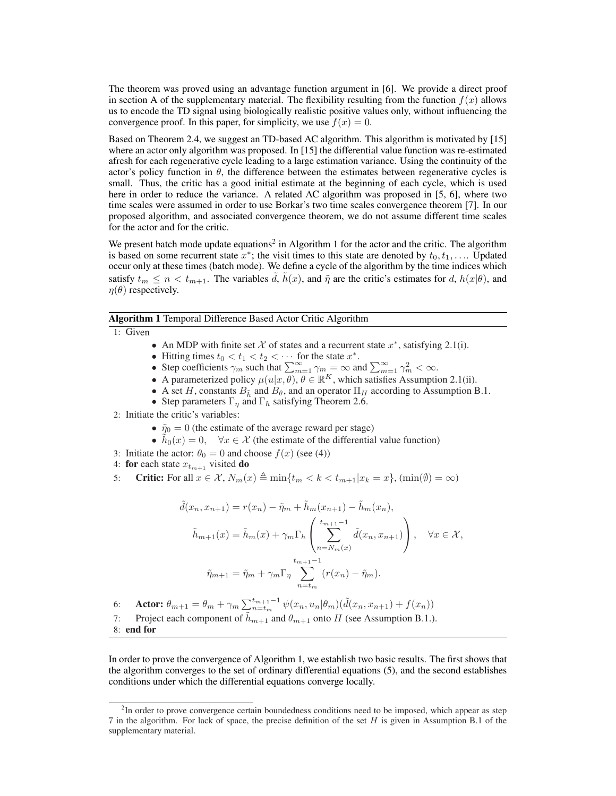The theorem was proved using an advantage function argument in [6]. We provide a direct proof in section A of the supplementary material. The flexibility resulting from the function  $f(x)$  allows us to encode the TD signal using biologically realistic positive values only, without influencing the convergence proof. In this paper, for simplicity, we use  $f(x) = 0$ .

Based on Theorem 2.4, we suggest an TD-based AC algorithm. This algorithm is motivated by [15] where an actor only algorithm was proposed. In [15] the differential value function was re-estimated afresh for each regenerative cycle leading to a large estimation variance. Using the continuity of the actor's policy function in  $\theta$ , the difference between the estimates between regenerative cycles is small. Thus, the critic has a good initial estimate at the beginning of each cycle, which is used here in order to reduce the variance. A related AC algorithm was proposed in [5, 6], where two time scales were assumed in order to use Borkar's two time scales convergence theorem [7]. In our proposed algorithm, and associated convergence theorem, we do not assume different time scales for the actor and for the critic.

We present batch mode update equations<sup>2</sup> in Algorithm 1 for the actor and the critic. The algorithm is based on some recurrent state  $x^*$ ; the visit times to this state are denoted by  $t_0, t_1, \ldots$  Updated occur only at these times (batch mode). We define a cycle of the algorithm by the time indices which satisfy  $t_m \leq n < t_{m+1}$ . The variables d,  $h(x)$ , and  $\tilde{\eta}$  are the critic's estimates for d,  $h(x|\theta)$ , and  $\eta(\theta)$  respectively.

#### Algorithm 1 Temporal Difference Based Actor Critic Algorithm

- 1: Given
- An MDP with finite set  $\mathcal X$  of states and a recurrent state  $x^*$ , satisfying 2.1(i).
- 
- Hitting times  $t_0 < t_1 < t_2 < \cdots$  for the state  $x^*$ .<br>• Step coefficients  $\gamma_m$  such that  $\sum_{m=1}^{\infty} \gamma_m = \infty$  and  $\sum_{m=1}^{\infty} \gamma_m^2 < \infty$ .
- A parameterized policy  $\mu(u|x,\theta), \theta \in \mathbb{R}^K$ , which satisfies Assumption 2.1(ii).
- A set H, constants  $B_{\tilde{h}}$  and  $B_{\theta}$ , and an operator  $\Pi_H$  according to Assumption B.1.
- Step parameters  $\Gamma_{\eta}$  and  $\Gamma_{h}$  satisfying Theorem 2.6.
- 2: Initiate the critic's variables:
	- $\tilde{\eta}_0 = 0$  (the estimate of the average reward per stage)
	- $\hat{h}_0(x) = 0$ ,  $\forall x \in \mathcal{X}$  (the estimate of the differential value function)
- 3: Initiate the actor:  $\theta_0 = 0$  and choose  $f(x)$  (see (4))
- 4: for each state  $x_{t_{m+1}}$  visited do
- 5: Critic: For all  $x \in \mathcal{X}$ ,  $N_m(x) \triangleq \min\{t_m < k < t_{m+1}|x_k = x\}$ ,  $(\min(\emptyset) = \infty)$

$$
\tilde{d}(x_n, x_{n+1}) = r(x_n) - \tilde{\eta}_m + \tilde{h}_m(x_{n+1}) - \tilde{h}_m(x_n),
$$
  

$$
\tilde{h}_{m+1}(x) = \tilde{h}_m(x) + \gamma_m \Gamma_h \left( \sum_{n=N_m(x)}^{t_{m+1}-1} \tilde{d}(x_n, x_{n+1}) \right), \quad \forall x \in \mathcal{X},
$$
  

$$
\tilde{\eta}_{m+1} = \tilde{\eta}_m + \gamma_m \Gamma_\eta \sum_{n=t_m}^{t_{m+1}-1} (r(x_n) - \tilde{\eta}_m).
$$

6: **Actor:**  $\theta_{m+1} = \theta_m + \gamma_m \sum_{n=t_m}^{t_{m+1}-1}$  $_{n=t_m}^{t_{m+1}-1} \psi(x_n, u_n | \theta_m) (\tilde{d}(x_n, x_{n+1}) + f(x_n))$ 7: Project each component of  $\tilde{h}_{m+1}$  and  $\theta_{m+1}$  onto H (see Assumption B.1.). 8: end for

In order to prove the convergence of Algorithm 1, we establish two basic results. The first shows that the algorithm converges to the set of ordinary differential equations (5), and the second establishes conditions under which the differential equations converge locally.

<sup>&</sup>lt;sup>2</sup>In order to prove convergence certain boundedness conditions need to be imposed, which appear as step 7 in the algorithm. For lack of space, the precise definition of the set H is given in Assumption B.1 of the supplementary material.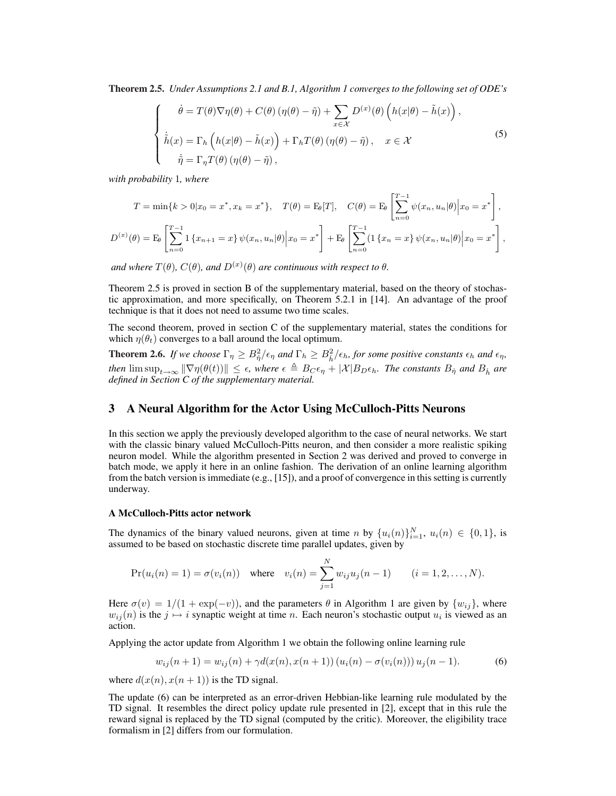Theorem 2.5. *Under Assumptions 2.1 and B.1, Algorithm 1 converges to the following set of ODE's*

$$
\begin{cases}\n\dot{\theta} = T(\theta)\nabla\eta(\theta) + C(\theta)\left(\eta(\theta) - \tilde{\eta}\right) + \sum_{x \in \mathcal{X}} D^{(x)}(\theta)\left(h(x|\theta) - \tilde{h}(x)\right), \\
\dot{\tilde{h}}(x) = \Gamma_h\left(h(x|\theta) - \tilde{h}(x)\right) + \Gamma_h T(\theta)\left(\eta(\theta) - \tilde{\eta}\right), \quad x \in \mathcal{X} \\
\dot{\tilde{\eta}} = \Gamma_{\eta} T(\theta)\left(\eta(\theta) - \tilde{\eta}\right),\n\end{cases} \tag{5}
$$

*with probability* 1*, where*

$$
T = \min\{k > 0 | x_0 = x^*, x_k = x^* \}, \quad T(\theta) = \mathbb{E}_{\theta}[T], \quad C(\theta) = \mathbb{E}_{\theta} \left[ \sum_{n=0}^{T-1} \psi(x_n, u_n | \theta) \Big| x_0 = x^* \right],
$$
  

$$
D^{(x)}(\theta) = \mathbb{E}_{\theta} \left[ \sum_{n=0}^{T-1} \mathbb{1} \{x_{n+1} = x\} \psi(x_n, u_n | \theta) \Big| x_0 = x^* \right] + \mathbb{E}_{\theta} \left[ \sum_{n=0}^{T-1} (\mathbb{1} \{x_n = x\} \psi(x_n, u_n | \theta) \Big| x_0 = x^* \right],
$$

*and where*  $T(\theta)$ *,*  $C(\theta)$ *, and*  $D^{(x)}(\theta)$  *are continuous with respect to*  $\theta$ *.* 

Theorem 2.5 is proved in section B of the supplementary material, based on the theory of stochastic approximation, and more specifically, on Theorem 5.2.1 in [14]. An advantage of the proof technique is that it does not need to assume two time scales.

The second theorem, proved in section C of the supplementary material, states the conditions for which  $\eta(\theta_t)$  converges to a ball around the local optimum.

**Theorem 2.6.** If we choose  $\Gamma_{\eta} \geq B_{\eta}^2/\epsilon_{\eta}$  and  $\Gamma_{h} \geq B_{\tilde{h}}^2/\epsilon_{h}$ , for some positive constants  $\epsilon_{h}$  and  $\epsilon_{\eta}$ , *then*  $\limsup_{t\to\infty} \|\nabla \eta(\theta(t))\| \leq \epsilon$ , where  $\epsilon \triangleq B_C \epsilon_{\eta} + |\mathcal{X}|B_D \epsilon_h$ . The constants  $B_{\eta}$  and  $B_h$  are *defined in Section C of the supplementary material.*

# 3 A Neural Algorithm for the Actor Using McCulloch-Pitts Neurons

In this section we apply the previously developed algorithm to the case of neural networks. We start with the classic binary valued McCulloch-Pitts neuron, and then consider a more realistic spiking neuron model. While the algorithm presented in Section 2 was derived and proved to converge in batch mode, we apply it here in an online fashion. The derivation of an online learning algorithm from the batch version is immediate (e.g., [15]), and a proof of convergence in this setting is currently underway.

#### A McCulloch-Pitts actor network

The dynamics of the binary valued neurons, given at time n by  $\{u_i(n)\}_{i=1}^N$ ,  $u_i(n) \in \{0,1\}$ , is assumed to be based on stochastic discrete time parallel updates, given by

$$
Pr(u_i(n) = 1) = \sigma(v_i(n)) \text{ where } v_i(n) = \sum_{j=1}^{N} w_{ij} u_j(n-1) \qquad (i = 1, 2, ..., N).
$$

Here  $\sigma(v) = 1/(1 + \exp(-v))$ , and the parameters  $\theta$  in Algorithm 1 are given by  $\{w_{ij}\}\$ , where  $w_{ij}(n)$  is the  $j \mapsto i$  synaptic weight at time n. Each neuron's stochastic output  $u_i$  is viewed as an action.

Applying the actor update from Algorithm 1 we obtain the following online learning rule

$$
w_{ij}(n+1) = w_{ij}(n) + \gamma d(x(n), x(n+1)) (u_i(n) - \sigma(v_i(n))) u_j(n-1).
$$
 (6)

where  $d(x(n), x(n + 1))$  is the TD signal.

The update (6) can be interpreted as an error-driven Hebbian-like learning rule modulated by the TD signal. It resembles the direct policy update rule presented in [2], except that in this rule the reward signal is replaced by the TD signal (computed by the critic). Moreover, the eligibility trace formalism in [2] differs from our formulation.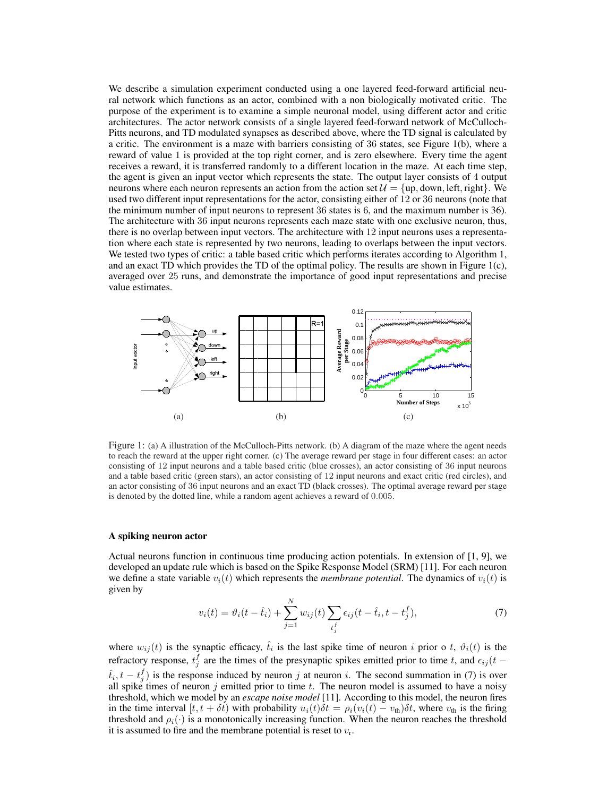We describe a simulation experiment conducted using a one layered feed-forward artificial neural network which functions as an actor, combined with a non biologically motivated critic. The purpose of the experiment is to examine a simple neuronal model, using different actor and critic architectures. The actor network consists of a single layered feed-forward network of McCulloch-Pitts neurons, and TD modulated synapses as described above, where the TD signal is calculated by a critic. The environment is a maze with barriers consisting of 36 states, see Figure 1(b), where a reward of value 1 is provided at the top right corner, and is zero elsewhere. Every time the agent receives a reward, it is transferred randomly to a different location in the maze. At each time step, the agent is given an input vector which represents the state. The output layer consists of 4 output neurons where each neuron represents an action from the action set  $\mathcal{U} = \{up, down, left, right\}$ . We used two different input representations for the actor, consisting either of 12 or 36 neurons (note that the minimum number of input neurons to represent 36 states is 6, and the maximum number is 36). The architecture with 36 input neurons represents each maze state with one exclusive neuron, thus, there is no overlap between input vectors. The architecture with 12 input neurons uses a representation where each state is represented by two neurons, leading to overlaps between the input vectors. We tested two types of critic: a table based critic which performs iterates according to Algorithm 1, and an exact TD which provides the TD of the optimal policy. The results are shown in Figure 1(c), averaged over 25 runs, and demonstrate the importance of good input representations and precise value estimates.



Figure 1: (a) A illustration of the McCulloch-Pitts network. (b) A diagram of the maze where the agent needs to reach the reward at the upper right corner. (c) The average reward per stage in four different cases: an actor consisting of 12 input neurons and a table based critic (blue crosses), an actor consisting of 36 input neurons and a table based critic (green stars), an actor consisting of 12 input neurons and exact critic (red circles), and an actor consisting of 36 input neurons and an exact TD (black crosses). The optimal average reward per stage is denoted by the dotted line, while a random agent achieves a reward of 0.005.

#### A spiking neuron actor

Actual neurons function in continuous time producing action potentials. In extension of [1, 9], we developed an update rule which is based on the Spike Response Model (SRM) [11]. For each neuron we define a state variable  $v_i(t)$  which represents the *membrane potential*. The dynamics of  $v_i(t)$  is given by

$$
v_i(t) = \vartheta_i(t - \hat{t}_i) + \sum_{j=1}^{N} w_{ij}(t) \sum_{t_j^f} \epsilon_{ij}(t - \hat{t}_i, t - t_j^f),
$$
 (7)

where  $w_{ij}(t)$  is the synaptic efficacy,  $\hat{t}_i$  is the last spike time of neuron i prior o t,  $\vartheta_i(t)$  is the refractory response,  $t_j^f$  are the times of the presynaptic spikes emitted prior to time t, and  $\epsilon_{ij}(t \hat{t}_i, t - t_j^f$  is the response induced by neuron j at neuron i. The second summation in (7) is over all spike times of neuron j emitted prior to time t. The neuron model is assumed to have a noisy threshold, which we model by an *escape noise model* [11]. According to this model, the neuron fires in the time interval  $[t, t + \delta t)$  with probability  $u_i(t)\delta t = \rho_i(v_i(t) - v_{\text{th}})\delta t$ , where  $v_{\text{th}}$  is the firing threshold and  $\rho_i(\cdot)$  is a monotonically increasing function. When the neuron reaches the threshold it is assumed to fire and the membrane potential is reset to  $v_r$ .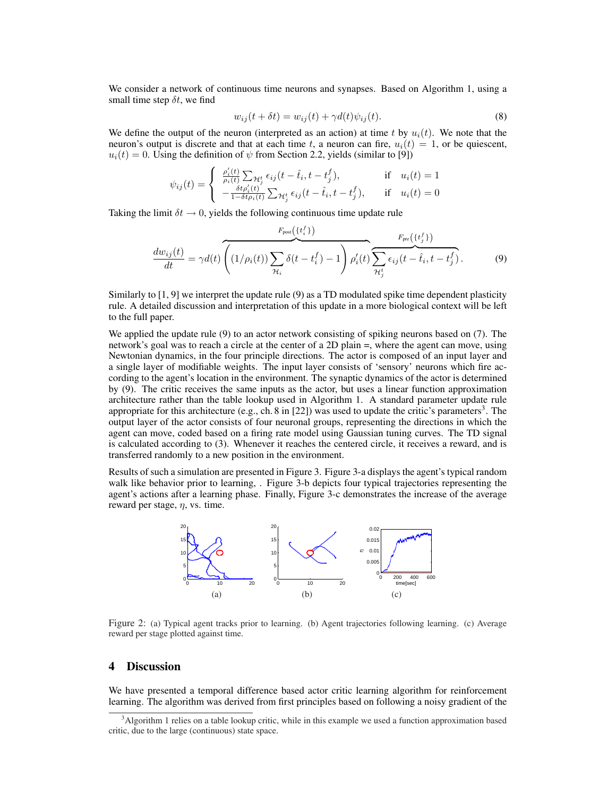We consider a network of continuous time neurons and synapses. Based on Algorithm 1, using a small time step  $\delta t$ , we find

$$
w_{ij}(t + \delta t) = w_{ij}(t) + \gamma d(t)\psi_{ij}(t). \tag{8}
$$

We define the output of the neuron (interpreted as an action) at time t by  $u_i(t)$ . We note that the neuron's output is discrete and that at each time t, a neuron can fire,  $u_i(t) = 1$ , or be quiescent,  $u_i(t) = 0$ . Using the definition of  $\psi$  from Section 2.2, yields (similar to [9])

$$
\psi_{ij}(t) = \begin{cases}\n\frac{\rho_i'(t)}{\rho_i(t)} \sum_{\mathcal{H}_j^t} \epsilon_{ij} (t - \hat{t}_i, t - t_j^f), & \text{if} \quad u_i(t) = 1 \\
-\frac{\delta t \rho_i'(t)}{1 - \delta t \rho_i(t)} \sum_{\mathcal{H}_j^t} \epsilon_{ij} (t - \hat{t}_i, t - t_j^f), & \text{if} \quad u_i(t) = 0\n\end{cases}
$$

Taking the limit  $\delta t \rightarrow 0$ , yields the following continuous time update rule

$$
\frac{dw_{ij}(t)}{dt} = \gamma d(t) \overbrace{\left(1/\rho_i(t)\right) \sum_{\mathcal{H}_i} \delta(t - t_i^f) - 1}_{\mathcal{H}_i} \right) \rho'_i(t)}^{\text{F}_{\text{post}}\left(\{t_i^f\}\right)} \sum_{\mathcal{H}_j^t} \epsilon_{ij}(t - \hat{t}_i, t - t_j^f). \tag{9}
$$

Similarly to [1, 9] we interpret the update rule (9) as a TD modulated spike time dependent plasticity rule. A detailed discussion and interpretation of this update in a more biological context will be left to the full paper.

We applied the update rule (9) to an actor network consisting of spiking neurons based on (7). The network's goal was to reach a circle at the center of a 2D plain =, where the agent can move, using Newtonian dynamics, in the four principle directions. The actor is composed of an input layer and a single layer of modifiable weights. The input layer consists of 'sensory' neurons which fire according to the agent's location in the environment. The synaptic dynamics of the actor is determined by (9). The critic receives the same inputs as the actor, but uses a linear function approximation architecture rather than the table lookup used in Algorithm 1. A standard parameter update rule appropriate for this architecture (e.g., ch. 8 in [22]) was used to update the critic's parameters<sup>3</sup>. The output layer of the actor consists of four neuronal groups, representing the directions in which the agent can move, coded based on a firing rate model using Gaussian tuning curves. The TD signal is calculated according to (3). Whenever it reaches the centered circle, it receives a reward, and is transferred randomly to a new position in the environment.

Results of such a simulation are presented in Figure 3. Figure 3-a displays the agent's typical random walk like behavior prior to learning, . Figure 3-b depicts four typical trajectories representing the agent's actions after a learning phase. Finally, Figure 3-c demonstrates the increase of the average reward per stage,  $\eta$ , vs. time.



Figure 2: (a) Typical agent tracks prior to learning. (b) Agent trajectories following learning. (c) Average reward per stage plotted against time.

## 4 Discussion

We have presented a temporal difference based actor critic learning algorithm for reinforcement learning. The algorithm was derived from first principles based on following a noisy gradient of the

<sup>&</sup>lt;sup>3</sup>Algorithm 1 relies on a table lookup critic, while in this example we used a function approximation based critic, due to the large (continuous) state space.